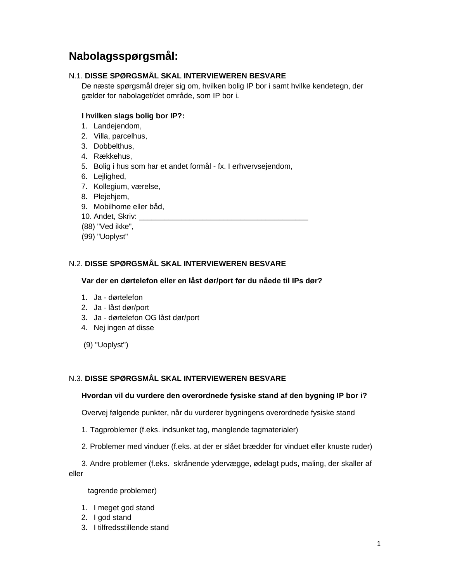# **Nabolagsspørgsmål:**

# N.1. **DISSE SPØRGSMÅL SKAL INTERVIEWEREN BESVARE**

 De næste spørgsmål drejer sig om, hvilken bolig IP bor i samt hvilke kendetegn, der gælder for nabolaget/det område, som IP bor i.

# **I hvilken slags bolig bor IP?:**

- 1. Landejendom,
- 2. Villa, parcelhus,
- 3. Dobbelthus,
- 4. Rækkehus,
- 5. Bolig i hus som har et andet formål fx. I erhvervsejendom,
- 6. Lejlighed,
- 7. Kollegium, værelse,
- 8. Plejehjem,
- 9. Mobilhome eller båd,
- 10. Andet, Skriv:
- (88) "Ved ikke",
- (99) "Uoplyst"

# N.2. **DISSE SPØRGSMÅL SKAL INTERVIEWEREN BESVARE**

#### **Var der en dørtelefon eller en låst dør/port før du nåede til IPs dør?**

- 1. Ja dørtelefon
- 2. Ja låst dør/port
- 3. Ja dørtelefon OG låst dør/port
- 4. Nej ingen af disse
- (9) "Uoplyst")

#### N.3. **DISSE SPØRGSMÅL SKAL INTERVIEWEREN BESVARE**

#### **Hvordan vil du vurdere den overordnede fysiske stand af den bygning IP bor i?**

Overvej følgende punkter, når du vurderer bygningens overordnede fysiske stand

- 1. Tagproblemer (f.eks. indsunket tag, manglende tagmaterialer)
- 2. Problemer med vinduer (f.eks. at der er slået brædder for vinduet eller knuste ruder)

 3. Andre problemer (f.eks. skrånende ydervægge, ødelagt puds, maling, der skaller af eller

tagrende problemer)

- 1. I meget god stand
- 2. I god stand
- 3. I tilfredsstillende stand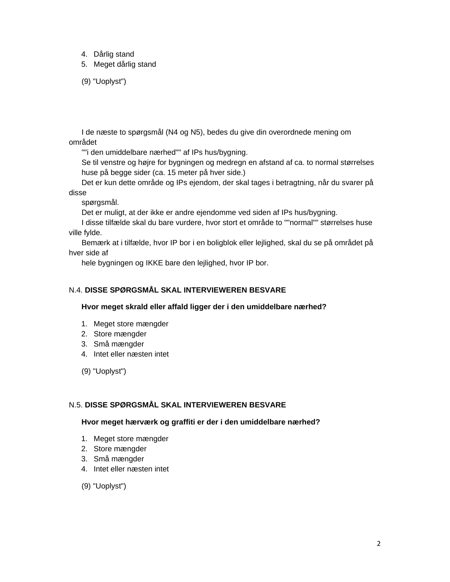- 4. Dårlig stand
- 5. Meget dårlig stand

(9) "Uoplyst")

 I de næste to spørgsmål (N4 og N5), bedes du give din overordnede mening om området

""i den umiddelbare nærhed"" af IPs hus/bygning.

 Se til venstre og højre for bygningen og medregn en afstand af ca. to normal størrelses huse på begge sider (ca. 15 meter på hver side.)

 Det er kun dette område og IPs ejendom, der skal tages i betragtning, når du svarer på disse

spørgsmål.

Det er muligt, at der ikke er andre ejendomme ved siden af IPs hus/bygning.

 I disse tilfælde skal du bare vurdere, hvor stort et område to ""normal"" størrelses huse ville fylde.

 Bemærk at i tilfælde, hvor IP bor i en boligblok eller lejlighed, skal du se på området på hver side af

hele bygningen og IKKE bare den lejlighed, hvor IP bor.

#### N.4. **DISSE SPØRGSMÅL SKAL INTERVIEWEREN BESVARE**

#### **Hvor meget skrald eller affald ligger der i den umiddelbare nærhed?**

- 1. Meget store mængder
- 2. Store mængder
- 3. Små mængder
- 4. Intet eller næsten intet

(9) "Uoplyst")

### N.5. **DISSE SPØRGSMÅL SKAL INTERVIEWEREN BESVARE**

#### **Hvor meget hærværk og graffiti er der i den umiddelbare nærhed?**

- 1. Meget store mængder
- 2. Store mængder
- 3. Små mængder
- 4. Intet eller næsten intet
- (9) "Uoplyst")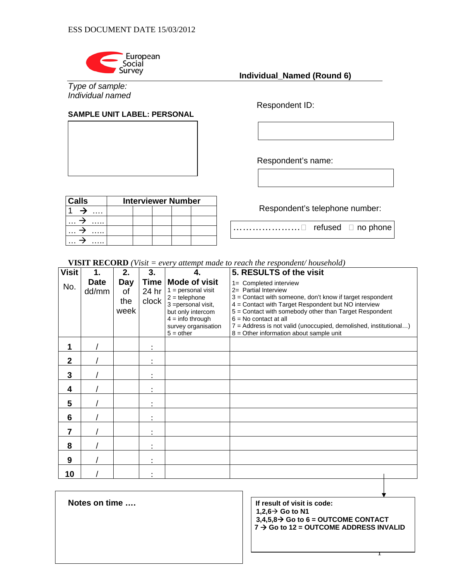

*Type of sample: Individual named*

# **SAMPLE UNIT LABEL: PERSONAL**

 **Individual\_Named (Round 6)** 

Respondent ID:

Respondent's name:

| <b>Calls</b>  | <b>Interviewer Number</b> |  |  |                                                                                |
|---------------|---------------------------|--|--|--------------------------------------------------------------------------------|
| .             |                           |  |  | Respondent's telephone number:                                                 |
| $\cdots$<br>. |                           |  |  |                                                                                |
| $\cdots$<br>. |                           |  |  | $\texttt{``}\dots\ldots\ldots\ldots\ldots\sqcup$ refused $\texttt{r}$ no phone |
| .             |                           |  |  |                                                                                |

**VISIT RECORD** *(Visit = every attempt made to reach the respondent/ household)* 

| <b>Visit</b> | 1.                   | 2.                       | 3.                            |                                                                                                                                                                         | 5. RESULTS of the visit                                                                                                                                                                                                                                                                                                                                                  |
|--------------|----------------------|--------------------------|-------------------------------|-------------------------------------------------------------------------------------------------------------------------------------------------------------------------|--------------------------------------------------------------------------------------------------------------------------------------------------------------------------------------------------------------------------------------------------------------------------------------------------------------------------------------------------------------------------|
| No.          | <b>Date</b><br>dd/mm | Day<br>οf<br>the<br>week | <b>Time</b><br>24 hr<br>clock | <b>Mode of visit</b><br>$1 =$ personal visit<br>$2 =$ telephone<br>3 = personal visit,<br>but only intercom<br>$4 =$ info through<br>survey organisation<br>$5 = other$ | 1= Completed interview<br>2= Partial Interview<br>3 = Contact with someone, don't know if target respondent<br>4 = Contact with Target Respondent but NO interview<br>5 = Contact with somebody other than Target Respondent<br>$6 = No$ contact at all<br>7 = Address is not valid (unoccupied, demolished, institutional)<br>$8 =$ Other information about sample unit |
| 1            |                      |                          |                               |                                                                                                                                                                         |                                                                                                                                                                                                                                                                                                                                                                          |
| $\mathbf{2}$ |                      |                          |                               |                                                                                                                                                                         |                                                                                                                                                                                                                                                                                                                                                                          |
| 3            |                      |                          |                               |                                                                                                                                                                         |                                                                                                                                                                                                                                                                                                                                                                          |
| 4            |                      |                          |                               |                                                                                                                                                                         |                                                                                                                                                                                                                                                                                                                                                                          |
| 5            |                      |                          |                               |                                                                                                                                                                         |                                                                                                                                                                                                                                                                                                                                                                          |
| 6            |                      |                          |                               |                                                                                                                                                                         |                                                                                                                                                                                                                                                                                                                                                                          |
| 7            |                      |                          |                               |                                                                                                                                                                         |                                                                                                                                                                                                                                                                                                                                                                          |
| 8            |                      |                          |                               |                                                                                                                                                                         |                                                                                                                                                                                                                                                                                                                                                                          |
| 9            |                      |                          | ٠                             |                                                                                                                                                                         |                                                                                                                                                                                                                                                                                                                                                                          |
| 10           |                      |                          |                               |                                                                                                                                                                         |                                                                                                                                                                                                                                                                                                                                                                          |

Notes on time .... **If result of visit is code:** 

 $1,2,6 \rightarrow$  Go to N1  $3,4,5,8 \rightarrow$  Go to  $6 =$  OUTCOME CONTACT

**7 → Go to 12 = OUTCOME ADDRESS INVALID**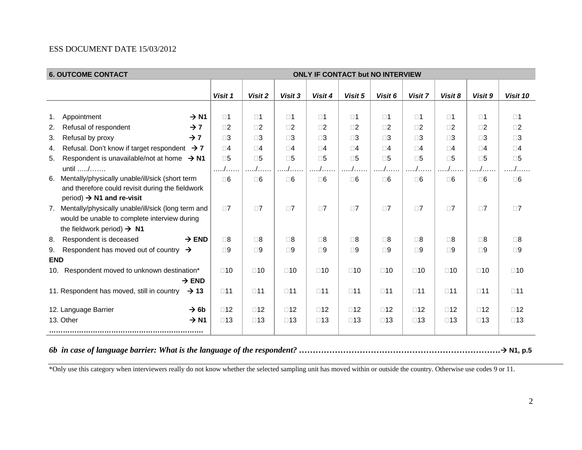### ESS DOCUMENT DATE 15/03/2012

| <b>6. OUTCOME CONTACT</b><br>ONLY IF CONTACT but NO INTERVIEW  |              |              |               |              |              |              |              |              |              |                       |
|----------------------------------------------------------------|--------------|--------------|---------------|--------------|--------------|--------------|--------------|--------------|--------------|-----------------------|
|                                                                |              |              |               |              |              |              |              |              |              |                       |
|                                                                | Visit 1      | Visit 2      | Visit 3       | Visit 4      | Visit 5      | Visit 6      | Visit 7      | Visit 8      | Visit 9      | Visit 10              |
|                                                                |              |              |               |              |              |              |              |              |              |                       |
| Appointment<br>$\rightarrow$ N1<br>1.                          | $\square$ 1  | $\square$ 1  | $\square$ 1   | $\square$ 1  | $\square$ 1  | $\square$ 1  | $\square$ 1  | $\square$ 1  | $\square$ 1  | $\square$ 1           |
| Refusal of respondent<br>$\rightarrow$ 7<br>2.                 | $\square$ 2  | $\square$ 2  | $\square$ 2   | $\square$    | $\square$    | $\square$    | $\square$ 2  | $\square$    | $\square$ 2  | $\square$ 2           |
| Refusal by proxy<br>$\rightarrow$ 7<br>3.                      | $\square 3$  | $\square 3$  | $\square$ 3   | $\square 3$  | $\square 3$  | $\square$ 3  | $\square 3$  | $\square$ 3  | $\square 3$  | $\square$ 3           |
| Refusal. Don't know if target respondent $\rightarrow$ 7<br>4. | $\square 4$  | $\square 4$  | $\Box$ 4      | $\square 4$  | $\square 4$  | $\square 4$  | $\square 4$  | $\square$ 4  | $\square 4$  | $\square 4$           |
| Respondent is unavailable/not at home $\rightarrow$ N1<br>5.   | $\square 5$  | $\square 5$  | $\square 5$   | $\square 5$  | $\square 5$  | $\square$ 5  | $\square 5$  | $\square 5$  | $\square 5$  | $\square 5$           |
| until /                                                        | . /          | /            | $\frac{1}{2}$ | . /          |              |              | $\Lambda$ .  |              | . . /        | . /                   |
| Mentally/physically unable/ill/sick (short term<br>6.          | $\Box 6$     | $\square$ 6  | $\Box 6$      | $\Box 6$     | $\Box 6$     | $\Box 6$     | $\Box 6$     | $\square$ 6  | $\square$ 6  | $\square$ 6           |
| and therefore could revisit during the fieldwork               |              |              |               |              |              |              |              |              |              |                       |
| period) $\rightarrow$ N1 and re-visit                          |              |              |               |              |              |              |              |              |              |                       |
| 7. Mentally/physically unable/ill/sick (long term and          | $\Box$ 7     | $\square$ 7  | $\square$ 7   | $\square$ 7  | $\Box$ 7     | $\square$ 7  | $\square$ 7  | $\square$ 7  | $\square$ 7  | $\square$ 7           |
| would be unable to complete interview during                   |              |              |               |              |              |              |              |              |              |                       |
| the fieldwork period) $\rightarrow$ N1                         |              |              |               |              |              |              |              |              |              |                       |
| Respondent is deceased<br>$\rightarrow$ END<br>8.              | $\square 8$  | $\square 8$  | $\Box$ 8      | $\Box$ 8     | $\square$ 8  | $\square$ 8  | $\square 8$  | $\Box$ 8     | $\square$ 8  | $\square 8$           |
| Respondent has moved out of country $\rightarrow$<br>9.        | $\square$    | $\Box 9$     | $\square$     | $\square$    | $\square$    | $\square$    | $\square 9$  | $\square$    | $\square$ 9  | $\square$ 9           |
| <b>END</b>                                                     |              |              |               |              |              |              |              |              |              |                       |
| Respondent moved to unknown destination*<br>10.                | $\square$ 10 | $\square$ 10 | $\square$ 10  | $\square$ 10 | $\square$ 10 | $\square$ 10 | $\square$ 10 | $\square$ 10 | $\square$ 10 | $\square$ 10          |
| $\rightarrow$ END                                              |              |              |               |              |              |              |              |              |              |                       |
| 11. Respondent has moved, still in country<br>$\rightarrow$ 13 | $\square$ 11 | $\square$ 11 | $\square$ 11  | $\square$ 11 | $\square$ 11 | $\square$ 11 | $\square$ 11 | $\square$ 11 | $\square$ 11 | $\square$ 11          |
|                                                                |              |              |               |              |              |              |              |              |              |                       |
| 12. Language Barrier<br>$\rightarrow$ 6b                       | $\square$ 12 | $\square$ 12 | $\square$ 12  | $\square$ 12 | $\square$ 12 | $\square$ 12 | $\square$ 12 | $\square$ 12 | $\square$ 12 | $\square$ 12          |
| 13. Other<br>$\rightarrow$ N1                                  | $\square$ 13 | $\square$ 13 | $\square$ 13  | $\square$ 13 | $\square$ 13 | $\square$ 13 | $\square$ 13 | $\square$ 13 | $\square$ 13 | $\square$ 13          |
|                                                                |              |              |               |              |              |              |              |              |              |                       |
|                                                                |              |              |               |              |              |              |              |              |              |                       |
|                                                                |              |              |               |              |              |              |              |              |              | $\rightarrow$ N1, p.5 |

\*Only use this category when interviewers really do not know whether the selected sampling unit has moved within or outside the country. Otherwise use codes 9 or 11.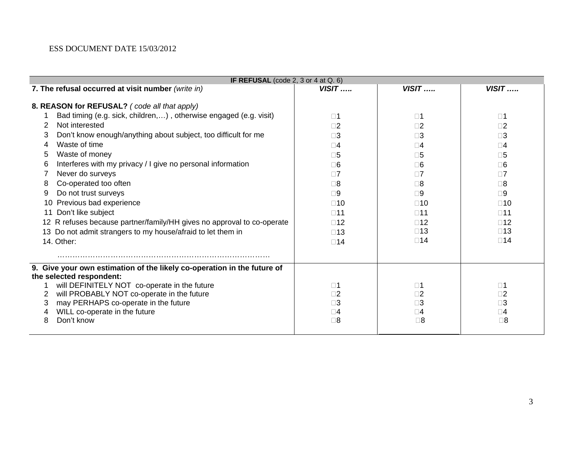#### ESS DOCUMENT DATE 15/03/2012

|    | IF REFUSAL (code 2, 3 or 4 at $Q. 6$ )                                  |                            |                            |                            |  |  |
|----|-------------------------------------------------------------------------|----------------------------|----------------------------|----------------------------|--|--|
|    | 7. The refusal occurred at visit number (write in)                      | $VISIT$                    | $VISIT$                    | $VISIT$                    |  |  |
|    | 8. REASON for REFUSAL? (code all that apply)                            |                            |                            |                            |  |  |
|    | Bad timing (e.g. sick, children,), otherwise engaged (e.g. visit)       | $\square$ 1                | $\square$ 1                | $\square$ 1                |  |  |
| 2  | Not interested                                                          | $\square$                  | $\square$ 2                | $\square$ 2                |  |  |
| 3  | Don't know enough/anything about subject, too difficult for me          | $\Box$ 3                   | $\Box$ 3                   | ∃3                         |  |  |
| 4  | Waste of time                                                           | $\square 4$                | $\Box 4$                   | $\square 4$                |  |  |
| 5  | Waste of money                                                          | $\neg 5$                   | $\square 5$                | $\square 5$                |  |  |
| 6  | Interferes with my privacy / I give no personal information             | $\square 6$                | $\square 6$                | $\square 6$                |  |  |
|    | Never do surveys                                                        | $\Box$ 7                   | $\Box$ 7                   | $\Box$ 7                   |  |  |
| 8  | Co-operated too often                                                   | $\square 8$                | $\square 8$                | □8                         |  |  |
| 9  | Do not trust surveys                                                    | $\square 9$                | $\Box 9$                   | $\square 9$                |  |  |
| 10 | Previous bad experience                                                 | $\square$ 10               | $\square$ 10               | $\square$ 10               |  |  |
| 11 | Don't like subject                                                      | $\square$ 11               | $\square$ 11               | $\square$ 11               |  |  |
|    | 12 R refuses because partner/family/HH gives no approval to co-operate  | $\square$ 12               | $\square$ 12               | $\square$ 12               |  |  |
|    | 13 Do not admit strangers to my house/afraid to let them in             | $\square$ 13               | $\square$ 13               | $\square$ 13               |  |  |
|    | 14. Other:                                                              | $\square$ 14               | $\square$ 14               | $\square$ 14               |  |  |
|    |                                                                         |                            |                            |                            |  |  |
|    | 9. Give your own estimation of the likely co-operation in the future of |                            |                            |                            |  |  |
|    | the selected respondent:                                                |                            |                            |                            |  |  |
|    | will DEFINITELY NOT co-operate in the future                            | $\square$ 1                | $\square$ 1                | $\square$ 1                |  |  |
| 2  | will PROBABLY NOT co-operate in the future                              | $\square$                  | $\square$ 2                | $\square 2$                |  |  |
| 3  | may PERHAPS co-operate in the future                                    | $\square 3$                | $\square 3$                | $\square 3$                |  |  |
| 8  | WILL co-operate in the future<br>Don't know                             | $\square 4$<br>$\square 8$ | $\square 4$<br>$\square 8$ | $\square 4$<br>$\square 8$ |  |  |
|    |                                                                         |                            |                            |                            |  |  |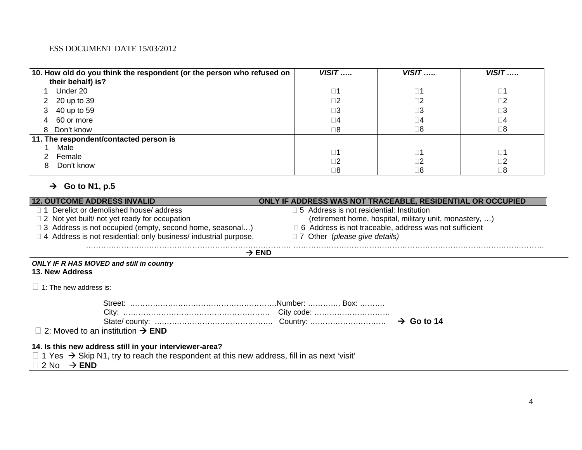#### ESS DOCUMENT DATE 15/03/2012

| 10. How old do you think the respondent (or the person who refused on<br>their behalf) is? | $VISIT$     | $VISIT$     | $VISIT$     |
|--------------------------------------------------------------------------------------------|-------------|-------------|-------------|
|                                                                                            |             |             |             |
| Under 20                                                                                   | $\square$ 1 | $\square$ 1 | $\square$ 1 |
| 2 20 up to 39                                                                              | $\square$ 2 | $\square$ 2 | $\square$ 2 |
| 40 up to 59<br>3                                                                           | $\square 3$ | $\square 3$ | $\square 3$ |
| 60 or more<br>4                                                                            | $\Box 4$    | $\square$   | $\square$   |
| 8 Don't know                                                                               | $\square 8$ | $\square$ 8 | $\square 8$ |
| 11. The respondent/contacted person is                                                     |             |             |             |
| Male                                                                                       | $\square$ 1 | $\square$ 1 | $\square$ 1 |
| Female                                                                                     |             |             |             |
|                                                                                            | $\Box 2$    | $\square$ 2 | $\square 2$ |
| Don't know<br>8                                                                            |             |             |             |
|                                                                                            | 2⊟          | $\square$ 8 | $\square 8$ |

# $\rightarrow$  Go to N1, p.5

| <b>12. OUTCOME ADDRESS INVALID</b>                                                                                                                                                                       | ONLY IF ADDRESS WAS NOT TRACEABLE, RESIDENTIAL OR OCCUPIED    |
|----------------------------------------------------------------------------------------------------------------------------------------------------------------------------------------------------------|---------------------------------------------------------------|
| □ 1 Derelict or demolished house/ address                                                                                                                                                                | $\Box$ 5 Address is not residential: Institution              |
| $\Box$ 2 Not yet built/ not yet ready for occupation                                                                                                                                                     | (retirement home, hospital, military unit, monastery, )       |
| □ 3 Address is not occupied (empty, second home, seasonal)                                                                                                                                               | $\Box$ 6 Address is not traceable, address was not sufficient |
| $\Box$ 4 Address is not residential: only business/ industrial purpose.                                                                                                                                  | $\Box$ 7 Other (please give details)                          |
|                                                                                                                                                                                                          | $\rightarrow$ END                                             |
| <b>ONLY IF R HAS MOVED and still in country</b><br>13. New Address                                                                                                                                       |                                                               |
| $\Box$ 1: The new address is:                                                                                                                                                                            |                                                               |
|                                                                                                                                                                                                          |                                                               |
|                                                                                                                                                                                                          |                                                               |
|                                                                                                                                                                                                          | $\rightarrow$ Go to 14                                        |
| $\Box$ 2: Moved to an institution $\rightarrow$ END                                                                                                                                                      |                                                               |
| 14. Is this new address still in your interviewer-area?<br>$\Box$ 1 Yes $\rightarrow$ Skip N1, try to reach the respondent at this new address, fill in as next 'visit'<br>$\Box$ 2 No $\rightarrow$ END |                                                               |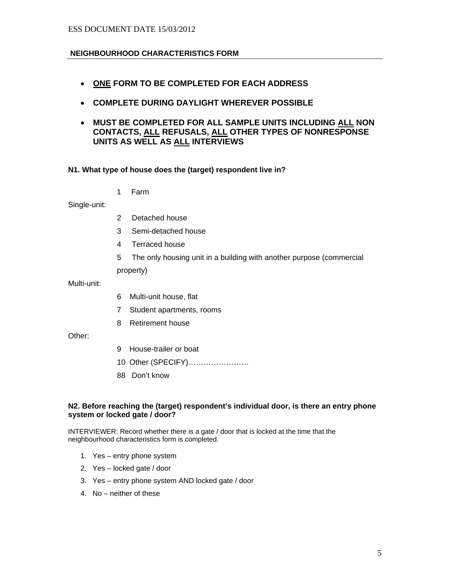# **NEIGHBOURHOOD CHARACTERISTICS FORM**

- **ONE FORM TO BE COMPLETED FOR EACH ADDRESS**
- **COMPLETE DURING DAYLIGHT WHEREVER POSSIBLE**
- **MUST BE COMPLETED FOR ALL SAMPLE UNITS INCLUDING ALL NON CONTACTS, ALL REFUSALS, ALL OTHER TYPES OF NONRESPONSE UNITS AS WELL AS ALL INTERVIEWS**

### **N1. What type of house does the (target) respondent live in?**

1 Farm

Single-unit:

- 2 Detached house
- 3 Semi-detached house
- 4 Terraced house
- 5 The only housing unit in a building with another purpose (commercial

property)

Multi-unit:

- 6 Multi-unit house, flat
- 7 Student apartments, rooms
- 8 Retirement house

Other:

- 9 House-trailer or boat
- 10 Other (SPECIFY)……………………
- 88 Don't know

#### **N2. Before reaching the (target) respondent's individual door, is there an entry phone system or locked gate / door?**

INTERVIEWER: Record whether there is a gate / door that is locked at the time that the neighbourhood characteristics form is completed.

- 1. Yes entry phone system
- 2. Yes locked gate / door
- 3. Yes entry phone system AND locked gate / door
- 4. No neither of these